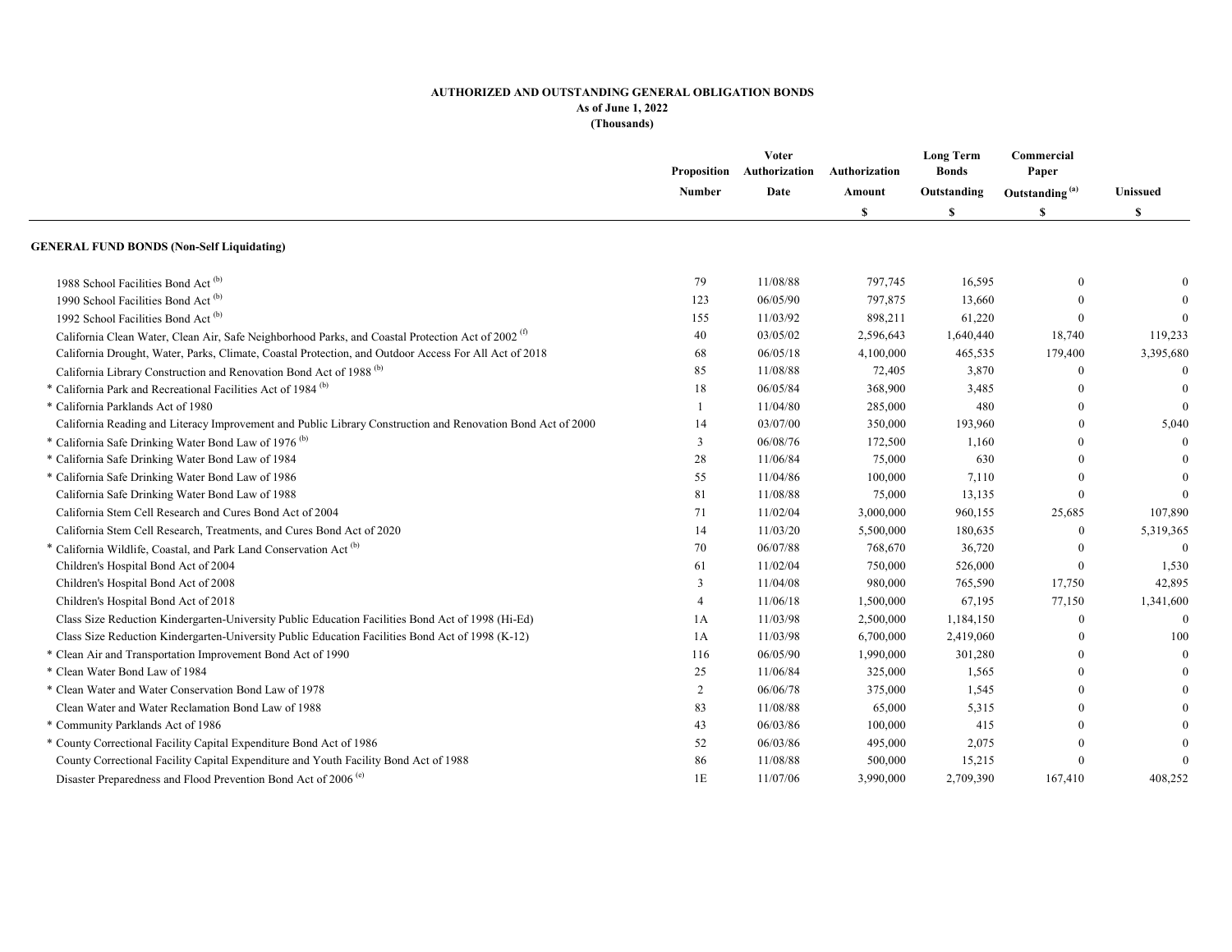|                                                                                                               | Number         | Voter<br>Proposition Authorization | Authorization<br>Amount<br>S | <b>Long Term</b><br><b>Bonds</b><br>Outstanding<br>S | Commercial<br>Paper        |           |
|---------------------------------------------------------------------------------------------------------------|----------------|------------------------------------|------------------------------|------------------------------------------------------|----------------------------|-----------|
|                                                                                                               |                | Date                               |                              |                                                      | Outstanding <sup>(a)</sup> | Unissued  |
|                                                                                                               |                |                                    |                              |                                                      | S                          | S         |
| <b>GENERAL FUND BONDS (Non-Self Liquidating)</b>                                                              |                |                                    |                              |                                                      |                            |           |
| 1988 School Facilities Bond Act <sup>(b)</sup>                                                                | 79             | 11/08/88                           | 797,745                      | 16,595                                               | $\theta$                   |           |
| 1990 School Facilities Bond Act <sup>(b)</sup>                                                                | 123            | 06/05/90                           | 797,875                      | 13,660                                               | $\Omega$                   |           |
| 1992 School Facilities Bond Act <sup>(b)</sup>                                                                | 155            | 11/03/92                           | 898,211                      | 61,220                                               | $\Omega$                   |           |
| California Clean Water, Clean Air, Safe Neighborhood Parks, and Coastal Protection Act of 2002 <sup>(f)</sup> | 40             | 03/05/02                           | 2,596,643                    | 1,640,440                                            | 18,740                     | 119,233   |
| California Drought, Water, Parks, Climate, Coastal Protection, and Outdoor Access For All Act of 2018         | 68             | 06/05/18                           | 4,100,000                    | 465,535                                              | 179,400                    | 3,395,680 |
| California Library Construction and Renovation Bond Act of 1988 <sup>(b)</sup>                                | 85             | 11/08/88                           | 72,405                       | 3,870                                                | $\Omega$                   | $\Omega$  |
| * California Park and Recreational Facilities Act of 1984 <sup>(b)</sup>                                      | 18             | 06/05/84                           | 368,900                      | 3,485                                                | $\Omega$                   |           |
| * California Parklands Act of 1980                                                                            | $\mathbf{1}$   | 11/04/80                           | 285,000                      | 480                                                  | $\mathbf{0}$               |           |
| California Reading and Literacy Improvement and Public Library Construction and Renovation Bond Act of 2000   | 14             | 03/07/00                           | 350,000                      | 193,960                                              | $\overline{0}$             | 5,040     |
| * California Safe Drinking Water Bond Law of 1976 <sup>(b)</sup>                                              | 3              | 06/08/76                           | 172,500                      | 1,160                                                | $\Omega$                   |           |
| * California Safe Drinking Water Bond Law of 1984                                                             | 28             | 11/06/84                           | 75,000                       | 630                                                  | $\Omega$                   |           |
| * California Safe Drinking Water Bond Law of 1986                                                             | 55             | 11/04/86                           | 100,000                      | 7,110                                                |                            |           |
| California Safe Drinking Water Bond Law of 1988                                                               | 81             | 11/08/88                           | 75,000                       | 13,135                                               | $\theta$                   | $\Omega$  |
| California Stem Cell Research and Cures Bond Act of 2004                                                      | 71             | 11/02/04                           | 3,000,000                    | 960,155                                              | 25,685                     | 107,890   |
| California Stem Cell Research, Treatments, and Cures Bond Act of 2020                                         | 14             | 11/03/20                           | 5,500,000                    | 180,635                                              | $\mathbf{0}$               | 5,319,365 |
| * California Wildlife, Coastal, and Park Land Conservation Act <sup>(b)</sup>                                 | 70             | 06/07/88                           | 768,670                      | 36,720                                               |                            | $\Omega$  |
| Children's Hospital Bond Act of 2004                                                                          | 61             | 11/02/04                           | 750,000                      | 526,000                                              | $\Omega$                   | 1,530     |
| Children's Hospital Bond Act of 2008                                                                          | 3              | 11/04/08                           | 980,000                      | 765,590                                              | 17,750                     | 42,895    |
| Children's Hospital Bond Act of 2018                                                                          | $\overline{4}$ | 11/06/18                           | 1,500,000                    | 67,195                                               | 77,150                     | 1,341,600 |
| Class Size Reduction Kindergarten-University Public Education Facilities Bond Act of 1998 (Hi-Ed)             | 1A             | 11/03/98                           | 2,500,000                    | 1,184,150                                            | $\overline{0}$             | $\Omega$  |
| Class Size Reduction Kindergarten-University Public Education Facilities Bond Act of 1998 (K-12)              | 1A             | 11/03/98                           | 6,700,000                    | 2,419,060                                            | $\overline{0}$             | 100       |
| * Clean Air and Transportation Improvement Bond Act of 1990                                                   | 116            | 06/05/90                           | 1,990,000                    | 301,280                                              | $\Omega$                   | $\theta$  |
| * Clean Water Bond Law of 1984                                                                                | 25             | 11/06/84                           | 325,000                      | 1,565                                                | $\Omega$                   |           |
| * Clean Water and Water Conservation Bond Law of 1978                                                         | 2              | 06/06/78                           | 375,000                      | 1,545                                                | $\Omega$                   |           |
| Clean Water and Water Reclamation Bond Law of 1988                                                            | 83             | 11/08/88                           | 65,000                       | 5,315                                                | $\Omega$                   |           |
| * Community Parklands Act of 1986                                                                             | 43             | 06/03/86                           | 100,000                      | 415                                                  | $\Omega$                   |           |
| * County Correctional Facility Capital Expenditure Bond Act of 1986                                           | 52             | 06/03/86                           | 495,000                      | 2,075                                                |                            |           |
| County Correctional Facility Capital Expenditure and Youth Facility Bond Act of 1988                          | 86             | 11/08/88                           | 500,000                      | 15,215                                               |                            | $\Omega$  |
| Disaster Preparedness and Flood Prevention Bond Act of 2006 <sup>(e)</sup>                                    | 1E             | 11/07/06                           | 3,990,000                    | 2,709,390                                            | 167,410                    | 408,252   |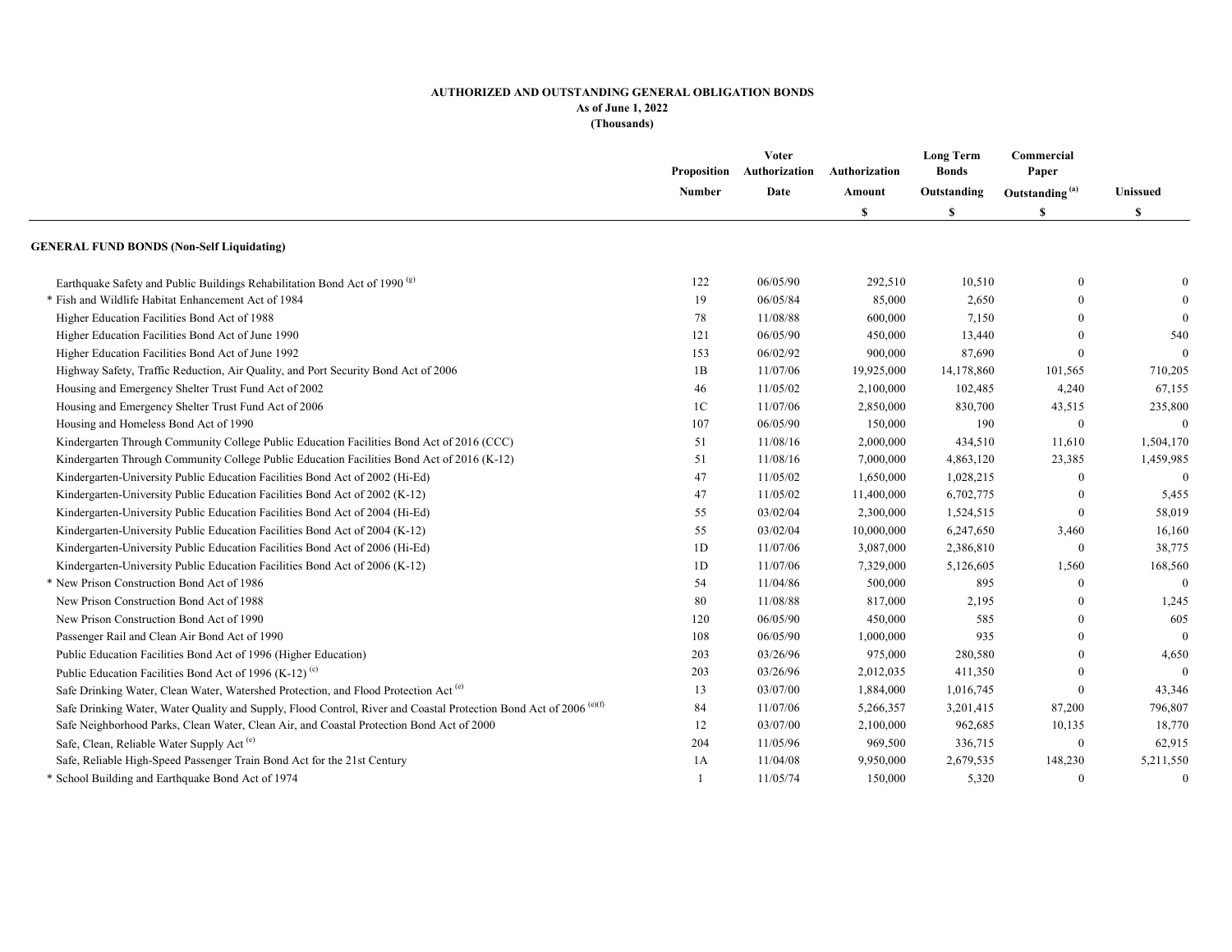|                                                                                                                               | Number         | <b>Voter</b><br>Proposition Authorization | Authorization<br>Amount<br>S | <b>Long Term</b><br><b>Bonds</b><br>Outstanding<br>\$ | Commercial<br>Paper<br>Outstanding <sup>(a)</sup><br>S | <b>Unissued</b><br>\$ |
|-------------------------------------------------------------------------------------------------------------------------------|----------------|-------------------------------------------|------------------------------|-------------------------------------------------------|--------------------------------------------------------|-----------------------|
|                                                                                                                               |                | Date                                      |                              |                                                       |                                                        |                       |
|                                                                                                                               |                |                                           |                              |                                                       |                                                        |                       |
| <b>GENERAL FUND BONDS (Non-Self Liquidating)</b>                                                                              |                |                                           |                              |                                                       |                                                        |                       |
| Earthquake Safety and Public Buildings Rehabilitation Bond Act of 1990 <sup>(g)</sup>                                         | 122            | 06/05/90                                  | 292,510                      | 10,510                                                | $\theta$                                               |                       |
| * Fish and Wildlife Habitat Enhancement Act of 1984                                                                           | 19             | 06/05/84                                  | 85,000                       | 2,650                                                 | $\Omega$                                               | $\Omega$              |
| Higher Education Facilities Bond Act of 1988                                                                                  | 78             | 11/08/88                                  | 600,000                      | 7,150                                                 |                                                        | $\Omega$              |
| Higher Education Facilities Bond Act of June 1990                                                                             | 121            | 06/05/90                                  | 450,000                      | 13,440                                                |                                                        | 540                   |
| Higher Education Facilities Bond Act of June 1992                                                                             | 153            | 06/02/92                                  | 900,000                      | 87,690                                                | $\Omega$                                               | $\Omega$              |
| Highway Safety, Traffic Reduction, Air Quality, and Port Security Bond Act of 2006                                            | 1B             | 11/07/06                                  | 19,925,000                   | 14,178,860                                            | 101,565                                                | 710,205               |
| Housing and Emergency Shelter Trust Fund Act of 2002                                                                          | 46             | 11/05/02                                  | 2,100,000                    | 102,485                                               | 4,240                                                  | 67,155                |
| Housing and Emergency Shelter Trust Fund Act of 2006                                                                          | 1 <sup>C</sup> | 11/07/06                                  | 2,850,000                    | 830,700                                               | 43,515                                                 | 235,800               |
| Housing and Homeless Bond Act of 1990                                                                                         | 107            | 06/05/90                                  | 150,000                      | 190                                                   | $\bf{0}$                                               | $\overline{0}$        |
| Kindergarten Through Community College Public Education Facilities Bond Act of 2016 (CCC)                                     | 51             | 11/08/16                                  | 2,000,000                    | 434,510                                               | 11,610                                                 | 1,504,170             |
| Kindergarten Through Community College Public Education Facilities Bond Act of 2016 (K-12)                                    | 51             | 11/08/16                                  | 7,000,000                    | 4,863,120                                             | 23,385                                                 | 1,459,985             |
| Kindergarten-University Public Education Facilities Bond Act of 2002 (Hi-Ed)                                                  | 47             | 11/05/02                                  | 1,650,000                    | 1,028,215                                             | $\Omega$                                               | $\Omega$              |
| Kindergarten-University Public Education Facilities Bond Act of 2002 (K-12)                                                   | 47             | 11/05/02                                  | 11,400,000                   | 6,702,775                                             | $\Omega$                                               | 5,455                 |
| Kindergarten-University Public Education Facilities Bond Act of 2004 (Hi-Ed)                                                  | 55             | 03/02/04                                  | 2,300,000                    | 1,524,515                                             | $\Omega$                                               | 58,019                |
| Kindergarten-University Public Education Facilities Bond Act of 2004 (K-12)                                                   | 55             | 03/02/04                                  | 10,000,000                   | 6,247,650                                             | 3,460                                                  | 16,160                |
| Kindergarten-University Public Education Facilities Bond Act of 2006 (Hi-Ed)                                                  | 1D             | 11/07/06                                  | 3,087,000                    | 2,386,810                                             | $\theta$                                               | 38,775                |
| Kindergarten-University Public Education Facilities Bond Act of 2006 (K-12)                                                   | 1D             | 11/07/06                                  | 7,329,000                    | 5,126,605                                             | 1,560                                                  | 168,560               |
| * New Prison Construction Bond Act of 1986                                                                                    | 54             | 11/04/86                                  | 500,000                      | 895                                                   | $\Omega$                                               | $\Omega$              |
| New Prison Construction Bond Act of 1988                                                                                      | 80             | 11/08/88                                  | 817,000                      | 2,195                                                 | $\Omega$                                               | 1,245                 |
| New Prison Construction Bond Act of 1990                                                                                      | 120            | 06/05/90                                  | 450,000                      | 585                                                   | $\theta$                                               | 605                   |
| Passenger Rail and Clean Air Bond Act of 1990                                                                                 | 108            | 06/05/90                                  | 1,000,000                    | 935                                                   | $\theta$                                               | $\Omega$              |
| Public Education Facilities Bond Act of 1996 (Higher Education)                                                               | 203            | 03/26/96                                  | 975,000                      | 280,580                                               | $\theta$                                               | 4,650                 |
| Public Education Facilities Bond Act of 1996 (K-12) <sup>(c)</sup>                                                            | 203            | 03/26/96                                  | 2,012,035                    | 411,350                                               | $\theta$                                               |                       |
| Safe Drinking Water, Clean Water, Watershed Protection, and Flood Protection Act <sup>(c)</sup>                               | 13             | 03/07/00                                  | 1,884,000                    | 1,016,745                                             | $\theta$                                               | 43,346                |
| Safe Drinking Water, Water Quality and Supply, Flood Control, River and Coastal Protection Bond Act of 2006 <sup>(e)(f)</sup> | 84             | 11/07/06                                  | 5,266,357                    | 3,201,415                                             | 87,200                                                 | 796,807               |
| Safe Neighborhood Parks, Clean Water, Clean Air, and Coastal Protection Bond Act of 2000                                      | 12             | 03/07/00                                  | 2,100,000                    | 962,685                                               | 10,135                                                 | 18,770                |
| Safe, Clean, Reliable Water Supply Act <sup>(e)</sup>                                                                         | 204            | 11/05/96                                  | 969,500                      | 336,715                                               | $\bf{0}$                                               | 62,915                |
| Safe, Reliable High-Speed Passenger Train Bond Act for the 21st Century                                                       | 1A             | 11/04/08                                  | 9,950,000                    | 2,679,535                                             | 148,230                                                | 5,211,550             |
| * School Building and Earthquake Bond Act of 1974                                                                             |                | 11/05/74                                  | 150,000                      | 5,320                                                 | $\theta$                                               | $\mathbf{0}$          |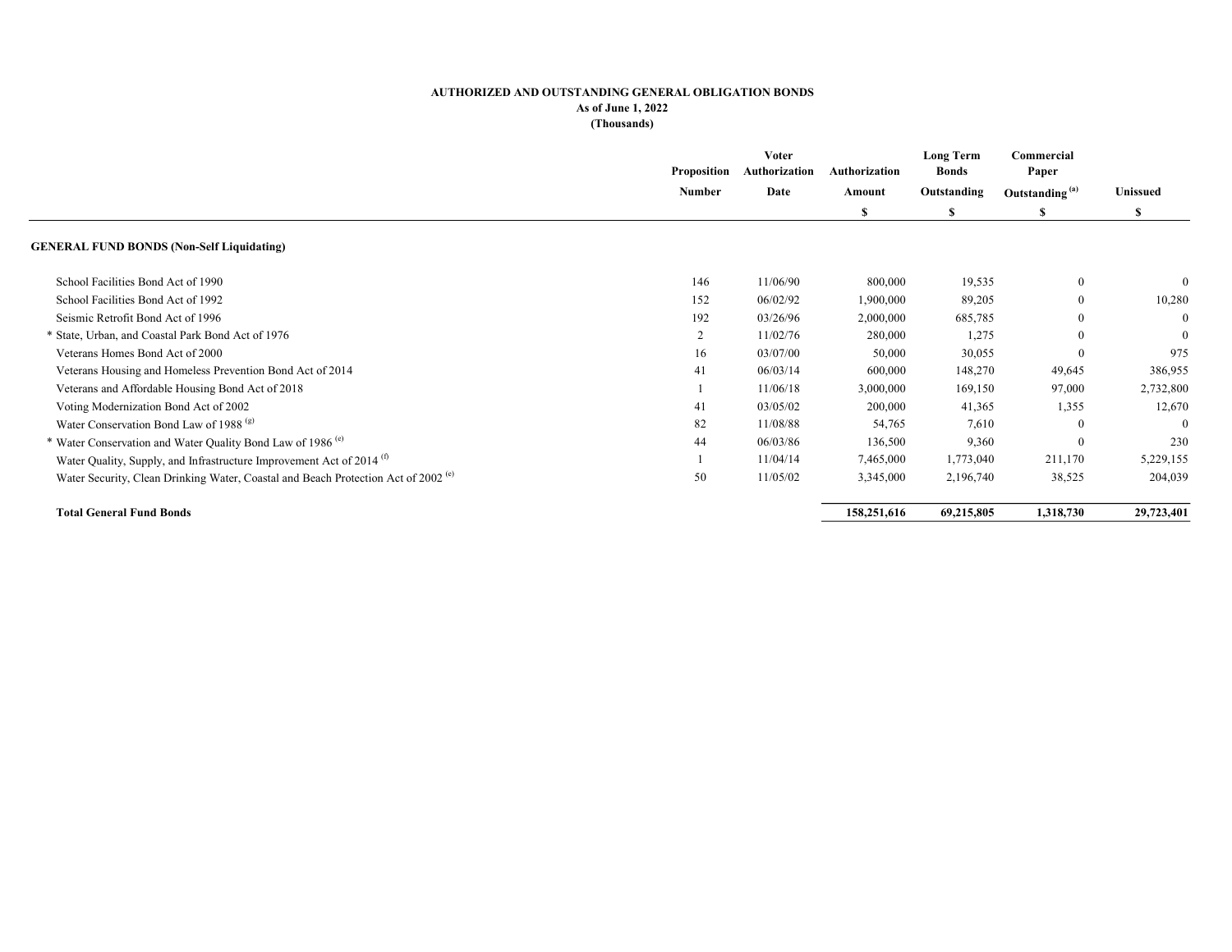|                                                                                               | <b>Proposition</b> | <b>Voter</b><br>Authorization | Authorization<br>Amount<br>S | <b>Long Term</b><br><b>Bonds</b> | Commercial<br>Paper        | Unissued<br>S |
|-----------------------------------------------------------------------------------------------|--------------------|-------------------------------|------------------------------|----------------------------------|----------------------------|---------------|
|                                                                                               | Number             | Date                          |                              | Outstanding                      | Outstanding <sup>(a)</sup> |               |
|                                                                                               |                    |                               |                              | S                                | S                          |               |
| <b>GENERAL FUND BONDS (Non-Self Liquidating)</b>                                              |                    |                               |                              |                                  |                            |               |
| School Facilities Bond Act of 1990                                                            | 146                | 11/06/90                      | 800,000                      | 19,535                           | $\boldsymbol{0}$           | $\theta$      |
| School Facilities Bond Act of 1992                                                            | 152                | 06/02/92                      | 1,900,000                    | 89,205                           | $\mathbf{0}$               | 10,280        |
| Seismic Retrofit Bond Act of 1996                                                             | 192                | 03/26/96                      | 2,000,000                    | 685,785                          | $\Omega$                   | $\Omega$      |
| * State, Urban, and Coastal Park Bond Act of 1976                                             | 2                  | 11/02/76                      | 280,000                      | 1,275                            |                            | $\mathbf{0}$  |
| Veterans Homes Bond Act of 2000                                                               | 16                 | 03/07/00                      | 50,000                       | 30,055                           |                            | 975           |
| Veterans Housing and Homeless Prevention Bond Act of 2014                                     | 41                 | 06/03/14                      | 600,000                      | 148,270                          | 49,645                     | 386,955       |
| Veterans and Affordable Housing Bond Act of 2018                                              |                    | 11/06/18                      | 3,000,000                    | 169,150                          | 97,000                     | 2,732,800     |
| Voting Modernization Bond Act of 2002                                                         | 41                 | 03/05/02                      | 200,000                      | 41,365                           | 1,355                      | 12,670        |
| Water Conservation Bond Law of 1988 <sup>(g)</sup>                                            | 82                 | 11/08/88                      | 54,765                       | 7,610                            | $\Omega$                   | $\Omega$      |
| * Water Conservation and Water Quality Bond Law of 1986 <sup>(c)</sup>                        | 44                 | 06/03/86                      | 136,500                      | 9,360                            | $\Omega$                   | 230           |
| Water Quality, Supply, and Infrastructure Improvement Act of 2014 <sup>(t)</sup>              |                    | 11/04/14                      | 7,465,000                    | 1,773,040                        | 211,170                    | 5,229,155     |
| Water Security, Clean Drinking Water, Coastal and Beach Protection Act of 2002 <sup>(c)</sup> | 50                 | 11/05/02                      | 3,345,000                    | 2,196,740                        | 38,525                     | 204,039       |
| <b>Total General Fund Bonds</b>                                                               |                    |                               | 158,251,616                  | 69,215,805                       | 1,318,730                  | 29,723,401    |